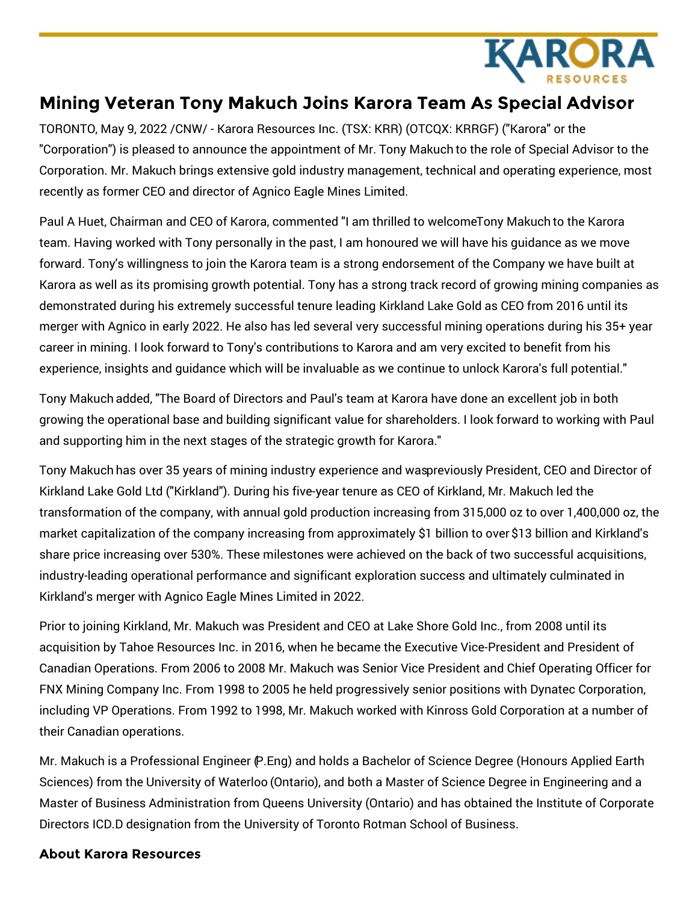

## **Mining Veteran Tony Makuch Joins Karora Team As Special Advisor**

TORONTO, May 9, 2022 /CNW/ - Karora Resources Inc. (TSX: KRR) (OTCQX: KRRGF) ("Karora" or the "Corporation") is pleased to announce the appointment of Mr. Tony Makuch to the role of Special Advisor to the Corporation. Mr. Makuch brings extensive gold industry management, technical and operating experience, most recently as former CEO and director of Agnico Eagle Mines Limited.

Paul A Huet, Chairman and CEO of Karora, commented "I am thrilled to welcomeTony Makuch to the Karora team. Having worked with Tony personally in the past, I am honoured we will have his guidance as we move forward. Tony's willingness to join the Karora team is a strong endorsement of the Company we have built at Karora as well as its promising growth potential. Tony has a strong track record of growing mining companies as demonstrated during his extremely successful tenure leading Kirkland Lake Gold as CEO from 2016 until its merger with Agnico in early 2022. He also has led several very successful mining operations during his 35+ year career in mining. I look forward to Tony's contributions to Karora and am very excited to benefit from his experience, insights and guidance which will be invaluable as we continue to unlock Karora's full potential."

Tony Makuch added, "The Board of Directors and Paul's team at Karora have done an excellent job in both growing the operational base and building significant value for shareholders. I look forward to working with Paul and supporting him in the next stages of the strategic growth for Karora."

Tony Makuch has over 35 years of mining industry experience and waspreviously President, CEO and Director of Kirkland Lake Gold Ltd ("Kirkland"). During his five-year tenure as CEO of Kirkland, Mr. Makuch led the transformation of the company, with annual gold production increasing from 315,000 oz to over 1,400,000 oz, the market capitalization of the company increasing from approximately \$1 billion to over \$13 billion and Kirkland's share price increasing over 530%. These milestones were achieved on the back of two successful acquisitions, industry-leading operational performance and significant exploration success and ultimately culminated in Kirkland's merger with Agnico Eagle Mines Limited in 2022.

Prior to joining Kirkland, Mr. Makuch was President and CEO at Lake Shore Gold Inc., from 2008 until its acquisition by Tahoe Resources Inc. in 2016, when he became the Executive Vice-President and President of Canadian Operations. From 2006 to 2008 Mr. Makuch was Senior Vice President and Chief Operating Officer for FNX Mining Company Inc. From 1998 to 2005 he held progressively senior positions with Dynatec Corporation, including VP Operations. From 1992 to 1998, Mr. Makuch worked with Kinross Gold Corporation at a number of their Canadian operations.

Mr. Makuch is a Professional Engineer (P.Eng) and holds a Bachelor of Science Degree (Honours Applied Earth Sciences) from the University of Waterloo (Ontario), and both a Master of Science Degree in Engineering and a Master of Business Administration from Queens University (Ontario) and has obtained the Institute of Corporate Directors ICD.D designation from the University of Toronto Rotman School of Business.

## **About Karora Resources**